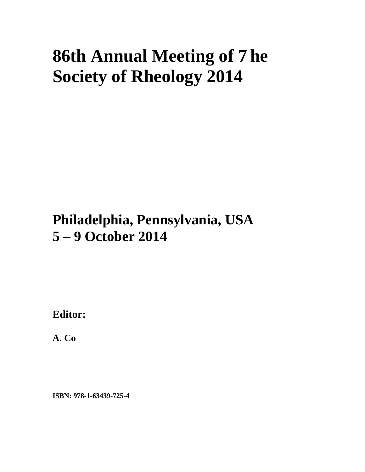## **86th Annual Meeting of 7he Society of Rheology 2014**

## **Philadelphia, Pennsylvania, USA 5 – 9 October 2014**

**Editor:** 

**A. Co** 

**ISBN: 978-1-63439-725-4**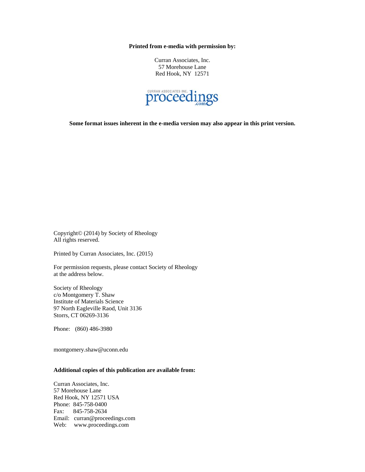**Printed from e-media with permission by:** 

Curran Associates, Inc. 57 Morehouse Lane Red Hook, NY 12571



**Some format issues inherent in the e-media version may also appear in this print version.** 

Copyright© (2014) by Society of Rheology All rights reserved.

Printed by Curran Associates, Inc. (2015)

For permission requests, please contact Society of Rheology at the address below.

Society of Rheology c/o Montgomery T. Shaw Institute of Materials Science 97 North Eagleville Raod, Unit 3136 Storrs, CT 06269-3136

Phone: (860) 486-3980

montgomery.shaw@uconn.edu

## **Additional copies of this publication are available from:**

Curran Associates, Inc. 57 Morehouse Lane Red Hook, NY 12571 USA Phone: 845-758-0400 Fax: 845-758-2634 Email: curran@proceedings.com Web: www.proceedings.com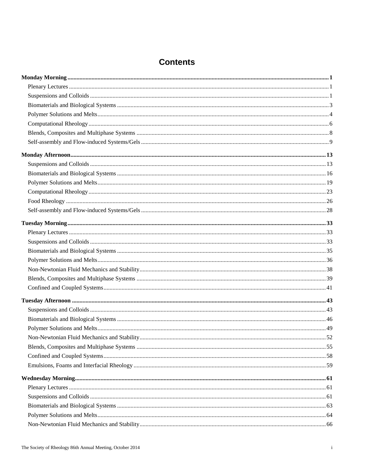| <b>Contents</b> |
|-----------------|
|-----------------|